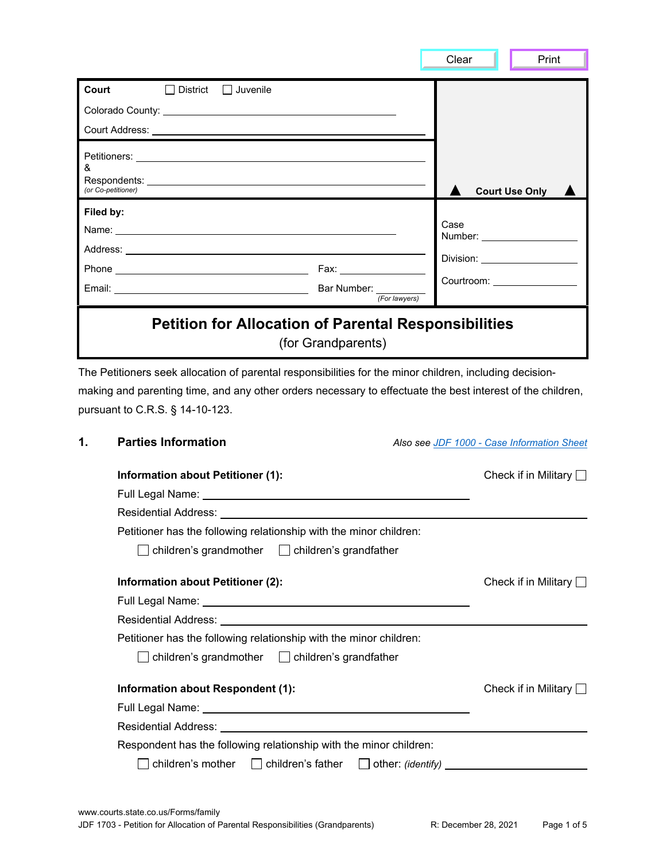|                    |                                                                                                                                                                                                                                                           |                               | Clear | Print                                      |
|--------------------|-----------------------------------------------------------------------------------------------------------------------------------------------------------------------------------------------------------------------------------------------------------|-------------------------------|-------|--------------------------------------------|
| Court              | $\Box$ District $\Box$ Juvenile                                                                                                                                                                                                                           |                               |       |                                            |
|                    |                                                                                                                                                                                                                                                           |                               |       |                                            |
|                    |                                                                                                                                                                                                                                                           |                               |       |                                            |
| &                  |                                                                                                                                                                                                                                                           |                               |       |                                            |
| (or Co-petitioner) |                                                                                                                                                                                                                                                           |                               |       | <b>Court Use Only</b>                      |
| Filed by:          |                                                                                                                                                                                                                                                           |                               | Case  |                                            |
|                    |                                                                                                                                                                                                                                                           |                               |       |                                            |
|                    | Phone Fax: Fax:                                                                                                                                                                                                                                           |                               |       | Division: ___________________              |
|                    |                                                                                                                                                                                                                                                           |                               |       | Courtroom: University of Courtroom:        |
|                    | Email: <u>New York: New York: New York: New York: New York: New York: New York: New York: New York: New York: New York: New York: New York: New York: New York: New York: New York: New York: New York: New York: New York: New </u>                      | (For lawyers)                 |       |                                            |
|                    | The Petitioners seek allocation of parental responsibilities for the minor children, including decision-<br>making and parenting time, and any other orders necessary to effectuate the best interest of the children,<br>pursuant to C.R.S. § 14-10-123. | (for Grandparents)            |       |                                            |
| 1.                 | <b>Parties Information</b>                                                                                                                                                                                                                                |                               |       | Also see JDF 1000 - Case Information Sheet |
|                    | <b>Information about Petitioner (1):</b>                                                                                                                                                                                                                  |                               |       | Check if in Military $\Box$                |
|                    | Full Legal Name: University of the University of Table                                                                                                                                                                                                    |                               |       |                                            |
|                    | Residential Address:                                                                                                                                                                                                                                      |                               |       |                                            |
|                    | Petitioner has the following relationship with the minor children:                                                                                                                                                                                        |                               |       |                                            |
|                    | children's grandmother                                                                                                                                                                                                                                    | $\Box$ children's grandfather |       |                                            |
|                    | <b>Information about Petitioner (2):</b>                                                                                                                                                                                                                  |                               |       | Check if in Military $\Box$                |
|                    |                                                                                                                                                                                                                                                           |                               |       |                                            |
|                    | Residential Address: University of the Contract of the Contract of the Contract of the Contract of the Contract of the Contract of the Contract of the Contract of the Contract of the Contract of the Contract of the Contrac                            |                               |       |                                            |
|                    | Petitioner has the following relationship with the minor children:                                                                                                                                                                                        |                               |       |                                            |
|                    | children's grandmother $\Box$ children's grandfather                                                                                                                                                                                                      |                               |       |                                            |

| Information about Respondent (1):                                                 | Check if in Military $\Box$ |
|-----------------------------------------------------------------------------------|-----------------------------|
| Full Legal Name:                                                                  |                             |
| <b>Residential Address:</b>                                                       |                             |
| Respondent has the following relationship with the minor children:                |                             |
| $\Box$ children's mother $\Box$ children's father $\Box$ other: <i>(identify)</i> |                             |
|                                                                                   |                             |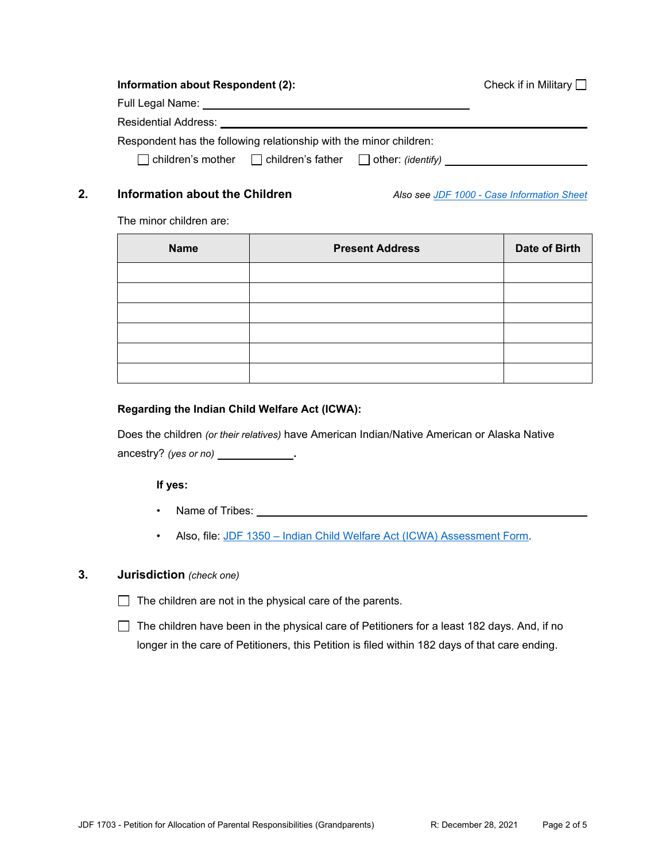#### **Information about Respondent (2):**

| Check if in Military $\Box$ |  |  |  |  |
|-----------------------------|--|--|--|--|
|-----------------------------|--|--|--|--|

| Full Legal Name:                                                   |  |
|--------------------------------------------------------------------|--|
| <b>Residential Address:</b>                                        |  |
| Respondent has the following relationship with the minor children: |  |

children's mother children's father cherentify)

**2. Information about the Children** *Also see [JDF 1000 - Case Information Sheet](https://www.courts.state.co.us/Forms/PDF/JDF1000.pdf)*

The minor children are:

| <b>Name</b> | <b>Present Address</b> | Date of Birth |
|-------------|------------------------|---------------|
|             |                        |               |
|             |                        |               |
|             |                        |               |
|             |                        |               |
|             |                        |               |
|             |                        |               |

#### **Regarding the Indian Child Welfare Act (ICWA):**

Does the children *(or their relatives)* have American Indian/Native American or Alaska Native ancestry? *(yes or no)* **.**

#### **If yes:**

- Name of Tribes: We have a state of the state of the state of the state of the state of the state of the state of the state of the state of the state of the state of the state of the state of the state of the state of the s
- Also, file: [JDF 1350 Indian Child Welfare Act \(ICWA\) Assessment Form.](https://www.courts.state.co.us/Forms/PDF/JDF1350.pdf)

## **3. Jurisdiction** *(check one)*

 $\Box$  The children are not in the physical care of the parents.

 $\Box$  The children have been in the physical care of Petitioners for a least 182 days. And, if no longer in the care of Petitioners, this Petition is filed within 182 days of that care ending.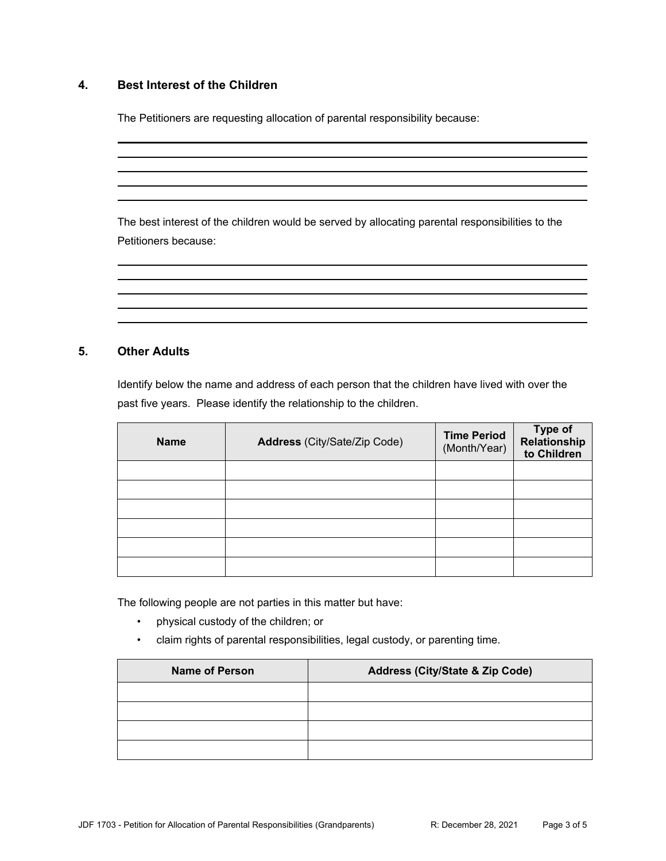## **4. Best Interest of the Children**

The Petitioners are requesting allocation of parental responsibility because:

The best interest of the children would be served by allocating parental responsibilities to the Petitioners because:

## **5. Other Adults**

Identify below the name and address of each person that the children have lived with over the past five years. Please identify the relationship to the children.

| <b>Name</b> | Address (City/Sate/Zip Code) | <b>Time Period</b><br>(Month/Year) | <b>Type of</b><br>Relationship<br>to Children |
|-------------|------------------------------|------------------------------------|-----------------------------------------------|
|             |                              |                                    |                                               |
|             |                              |                                    |                                               |
|             |                              |                                    |                                               |
|             |                              |                                    |                                               |
|             |                              |                                    |                                               |
|             |                              |                                    |                                               |

The following people are not parties in this matter but have:

- physical custody of the children; or
- claim rights of parental responsibilities, legal custody, or parenting time.

| <b>Name of Person</b> | Address (City/State & Zip Code) |
|-----------------------|---------------------------------|
|                       |                                 |
|                       |                                 |
|                       |                                 |
|                       |                                 |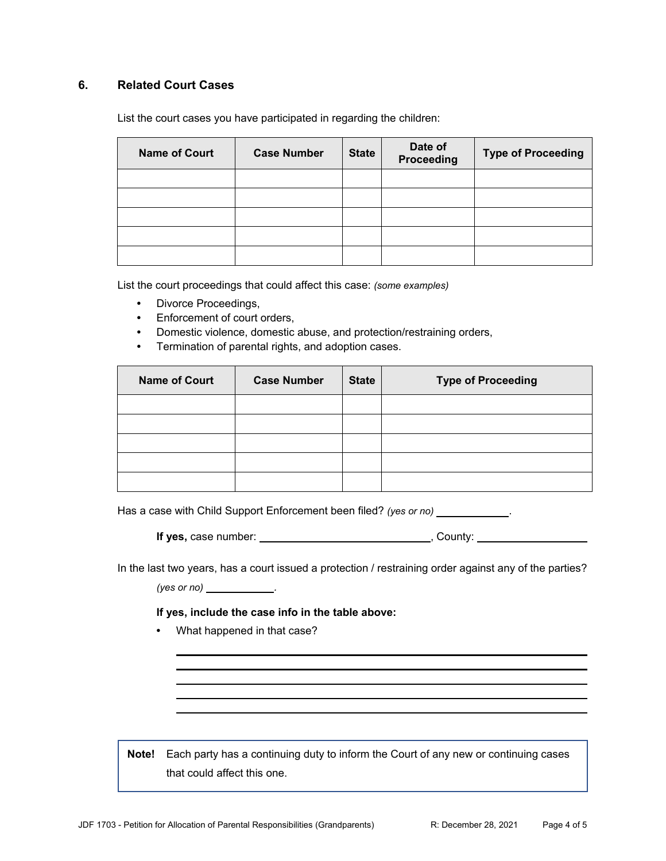## **6. Related Court Cases**

List the court cases you have participated in regarding the children:

| <b>Name of Court</b> | <b>Case Number</b> | <b>State</b> | Date of<br>Proceeding | <b>Type of Proceeding</b> |
|----------------------|--------------------|--------------|-----------------------|---------------------------|
|                      |                    |              |                       |                           |
|                      |                    |              |                       |                           |
|                      |                    |              |                       |                           |
|                      |                    |              |                       |                           |
|                      |                    |              |                       |                           |

List the court proceedings that could affect this case: *(some examples)*

- **•** Divorce Proceedings,
- **•** Enforcement of court orders,
- **•** Domestic violence, domestic abuse, and protection/restraining orders,
- **•** Termination of parental rights, and adoption cases.

| <b>Name of Court</b> | <b>Case Number</b> | <b>State</b> | <b>Type of Proceeding</b> |
|----------------------|--------------------|--------------|---------------------------|
|                      |                    |              |                           |
|                      |                    |              |                           |
|                      |                    |              |                           |
|                      |                    |              |                           |
|                      |                    |              |                           |

Has a case with Child Support Enforcement been filed? *(yes or no)* .

| If yes, case number: | County: |
|----------------------|---------|
|                      |         |

In the last two years, has a court issued a protection / restraining order against any of the parties?

*(yes or no) .*

#### **If yes, include the case info in the table above:**

**•** What happened in that case?

**Note!** Each party has a continuing duty to inform the Court of any new or continuing cases that could affect this one.